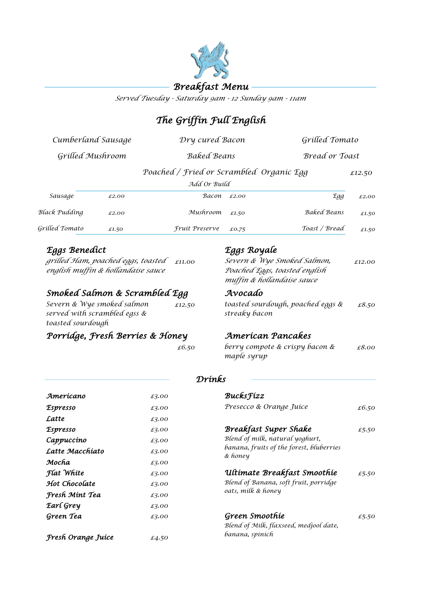

*Served Tuesday - Saturday 9am - 12 Sunday 9am - 11am*

# *The Griffin Full English*

| Cumberland Sausage<br>Grilled Mushroom |       | Dry cured Bacon                                          |       |                    | Grilled Tomato<br>Bread or Toast |  |
|----------------------------------------|-------|----------------------------------------------------------|-------|--------------------|----------------------------------|--|
|                                        |       | <b>Baked Beans</b>                                       |       |                    |                                  |  |
|                                        |       | Poached / Fried or Scrambled Organic Egg<br>Add Or Build |       |                    | £12.50                           |  |
| Sausage                                | £2.00 | Васоп                                                    | £2.00 | Egg                | £2.00                            |  |
| Black Pudding                          | £2.00 | Mushroom                                                 | £1,50 | <b>Baked Beans</b> | £1.50                            |  |
| Grilled Tomato                         | £1.50 | Fruit Preserve                                           | £0.75 | Toast / Bread      | £1.50                            |  |

# *Eggs Benedict Eggs Royale*

*grilled Ham, poached eggs, toasted english muffin & hollandaise sauce*

## *Smoked Salmon & Scrambled Egg Avocado*

| Severn & Wye smoked salmon   | £12.50 |
|------------------------------|--------|
| served with scrambled egss & |        |
| toasted sourdough            |        |

# *Porridge, Fresh Berries & Honey*

*£11.00 £12.00 Severn & Wye Smoked Salmon, Poached Eggs, toasted english muffin & hollandaise sauce*

*£12.50 £8.50 toasted sourdough, poached eggs & streaky bacon*

### *American Pancakes*

*£6.50 £8.00 berry compote & crispy bacon & maple syrup*

### *Drinks*

| Amerícano           | £3.00 | <b>Bucks</b> <i>Fizz</i>                            |       |
|---------------------|-------|-----------------------------------------------------|-------|
| <b>Espresso</b>     | £3.00 | Presecco & Orange Juíce                             | £6.50 |
| Latte               | £3.00 |                                                     |       |
| <i>Espresso</i>     | £3.00 | <b>Breakfast Super Shake</b>                        | £5.50 |
| Cappuccino          | £3.00 | Blend of milk, natural yoghurt,                     |       |
| Latte Macchiato     | £3.00 | banana, fruits of the forest, bluberries<br>& honey |       |
| Mocha               | £3.00 |                                                     |       |
| Flat White<br>£3.00 |       | Ultimate Breakfast Smoothie                         | £5.50 |
| Hot Chocolate       | £3.00 | Blend of Banana, soft fruit, porridge               |       |
| Fresh Mint Tea      | £3.00 | oats, milk & honey                                  |       |
| Earl Grey           | £3.00 |                                                     |       |
| Green Tea           | £3.00 | Green Smoothie                                      | £5.50 |
|                     |       | Blend of Milk, flaxseed, medjool date,              |       |
| Fresh Orange Juíce  | £4.50 | banana, spinich                                     |       |